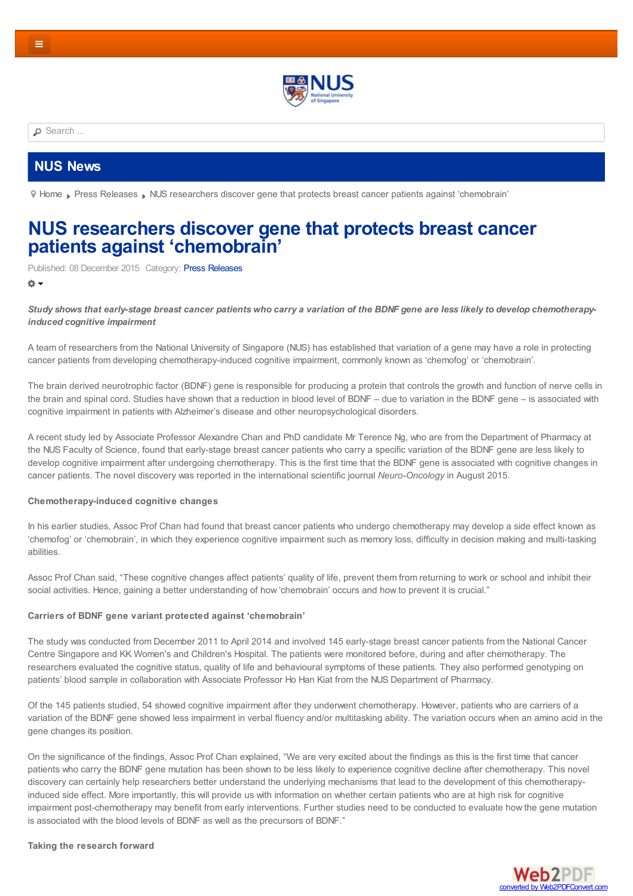

<span id="page-0-0"></span>**P** [Search](https://news.nus.edu.sg/press-releases) ...

## **NUS [News](https://news.nus.edu.sg/news-media)**

[Home](https://news.nus.edu.sg/) Press [Releases](https://news.nus.edu.sg/press-releases) NUS researchers discover gene that protects breast cancer patients against ['chemobrain'](https://news.nus.edu.sg/press-room)

# **NUS researchers discover gene that protects breast cancer patients against ['chemobrain'](#page-0-0)**

Published: 08 December 2015 Category: Press [Releases](https://news.nus.edu.sg/press-releases)

卷·

#### Study shows that early-stage breast cancer patients who carry a variation of the BDNF gene are less likely to develop chemotherapy*induced cognitive impairment*

A team of researchers from the National University of Singapore (NUS) has established that variation of a gene may have a role in protecting cancer patients from developing chemotherapy-induced cognitive impairment, commonly known as 'chemofog' or 'chemobrain'.

The brain derived neurotrophic factor (BDNF) gene is responsible for producing a protein that controls the growth and function of nerve cells in the brain and spinal cord. Studies have shown that a reduction in blood level of BDNF – due to variation in the BDNF gene – is associated with cognitive impairment in patients with Alzheimer's disease and other neuropsychological disorders.

A recent study led by Associate Professor Alexandre Chan and PhD candidate Mr Terence Ng, who are from the Department of Pharmacy at the NUS Faculty of Science, found that early-stage breast cancer patients who carry a specific variation of the BDNF gene are less likely to develop cognitive impairment after undergoing chemotherapy. This is the first time that the BDNF gene is associated with cognitive changes in cancer patients. The novel discovery was reported in the international scientific journal *Neuro-Oncology* in August 2015.

#### **Chemotherapy-induced cognitive changes**

In his earlier studies, Assoc Prof Chan had found that breast cancer patients who undergo chemotherapy may develop a side effect known as 'chemofog' or 'chemobrain', in which they experience cognitive impairment such as memory loss, difficulty in decision making and multi-tasking abilities.

Assoc Prof Chan said, "These cognitive changes affect patients' quality of life, prevent them from returning to work or school and inhibit their social activities. Hence, gaining a better understanding of how 'chemobrain' occurs and how to prevent it is crucial."

#### **Carriers of BDNF gene variant protected against 'chemobrain'**

The study was conducted from December 2011 to April 2014 and involved 145 early-stage breast cancer patients from the National Cancer Centre Singapore and KK Women's and Children's Hospital. The patients were monitored before, during and after chemotherapy. The researchers evaluated the cognitive status, quality of life and behavioural symptoms of these patients. They also performed genotyping on patients' blood sample in collaboration with Associate Professor Ho Han Kiat from the NUS Department of Pharmacy.

Of the 145 patients studied, 54 showed cognitive impairment after they underwent chemotherapy. However, patients who are carriers of a variation of the BDNF gene showed less impairment in verbal fluency and/or multitasking ability. The variation occurs when an amino acid in the gene changes its position.

On the significance of the findings, Assoc Prof Chan explained, "We are very excited about the findings as this is the first time that cancer patients who carry the BDNF gene mutation has been shown to be less likely to experience cognitive decline after chemotherapy. This novel discovery can certainly help researchers better understand the underlying mechanisms that lead to the development of this chemotherapyinduced side effect. More importantly, this will provide us with information on whether certain patients who are at high risk for cognitive impairment post-chemotherapy may benefit from early interventions. Further studies need to be conducted to evaluate how the gene mutation is associated with the blood levels of BDNF as well as the precursors of BDNF."

**Taking the research forward**